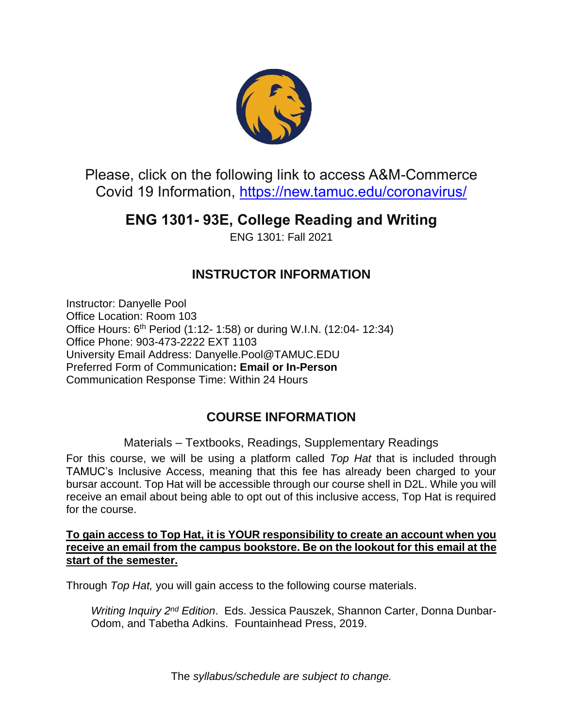

Please, click on the following link to access A&M-Commerce Covid 19 Information,<https://new.tamuc.edu/coronavirus/>

# **ENG 1301- 93E, College Reading and Writing**

ENG 1301: Fall 2021

# **INSTRUCTOR INFORMATION**

Instructor: Danyelle Pool Office Location: Room 103 Office Hours: 6<sup>th</sup> Period (1:12- 1:58) or during W.I.N. (12:04- 12:34) Office Phone: 903-473-2222 EXT 1103 University Email Address: Danyelle.Pool@TAMUC.EDU Preferred Form of Communication**: Email or In-Person** Communication Response Time: Within 24 Hours

## **COURSE INFORMATION**

Materials – Textbooks, Readings, Supplementary Readings

For this course, we will be using a platform called *Top Hat* that is included through TAMUC's Inclusive Access, meaning that this fee has already been charged to your bursar account. Top Hat will be accessible through our course shell in D2L. While you will receive an email about being able to opt out of this inclusive access, Top Hat is required for the course.

**To gain access to Top Hat, it is YOUR responsibility to create an account when you receive an email from the campus bookstore. Be on the lookout for this email at the start of the semester.**

Through *Top Hat,* you will gain access to the following course materials.

*Writing Inquiry 2nd Edition*. Eds. Jessica Pauszek, Shannon Carter, Donna Dunbar-Odom, and Tabetha Adkins. Fountainhead Press, 2019.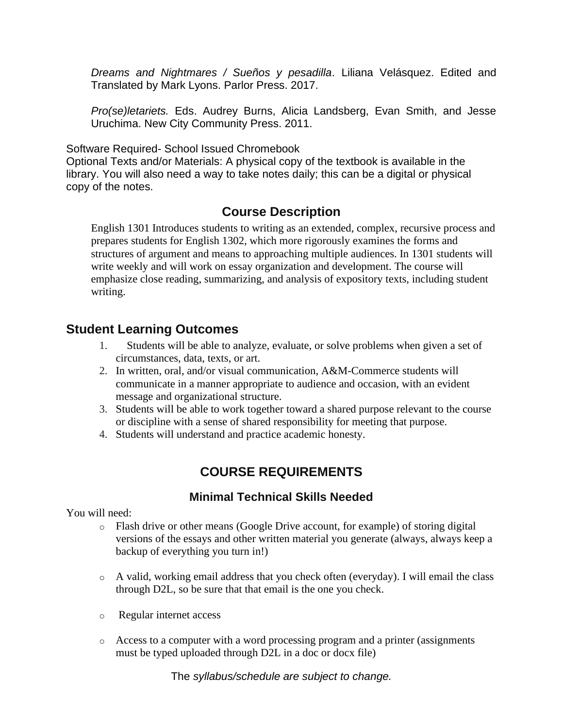*Dreams and Nightmares / Sueños y pesadilla*. Liliana Velásquez. Edited and Translated by Mark Lyons. Parlor Press. 2017.

*Pro(se)letariets.* Eds. Audrey Burns, Alicia Landsberg, Evan Smith, and Jesse Uruchima. New City Community Press. 2011.

Software Required- School Issued Chromebook

Optional Texts and/or Materials: A physical copy of the textbook is available in the library. You will also need a way to take notes daily; this can be a digital or physical copy of the notes.

### **Course Description**

English 1301 Introduces students to writing as an extended, complex, recursive process and prepares students for English 1302, which more rigorously examines the forms and structures of argument and means to approaching multiple audiences. In 1301 students will write weekly and will work on essay organization and development. The course will emphasize close reading, summarizing, and analysis of expository texts, including student writing.

#### **Student Learning Outcomes**

- 1. Students will be able to analyze, evaluate, or solve problems when given a set of circumstances, data, texts, or art.
- 2. In written, oral, and/or visual communication, A&M-Commerce students will communicate in a manner appropriate to audience and occasion, with an evident message and organizational structure.
- 3. Students will be able to work together toward a shared purpose relevant to the course or discipline with a sense of shared responsibility for meeting that purpose.
- 4. Students will understand and practice academic honesty.

## **COURSE REQUIREMENTS**

#### **Minimal Technical Skills Needed**

You will need:

- o Flash drive or other means (Google Drive account, for example) of storing digital versions of the essays and other written material you generate (always, always keep a backup of everything you turn in!)
- o A valid, working email address that you check often (everyday). I will email the class through D2L, so be sure that that email is the one you check.
- o Regular internet access
- $\circ$  Access to a computer with a word processing program and a printer (assignments must be typed uploaded through D2L in a doc or docx file)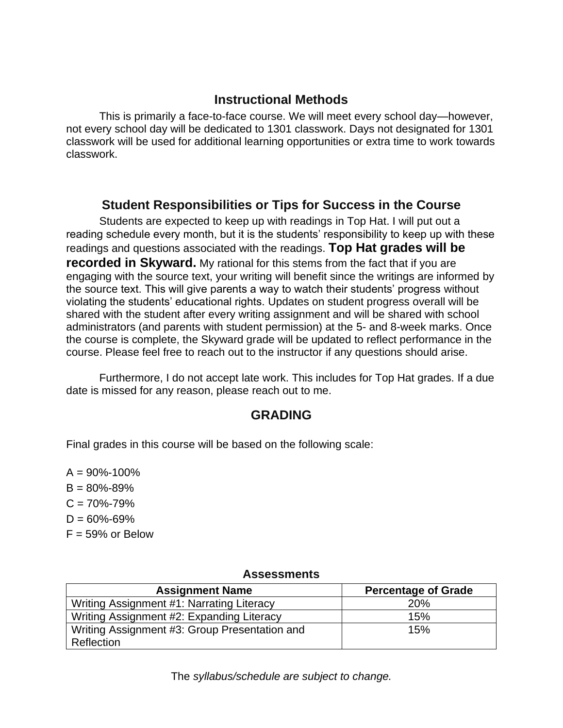#### **Instructional Methods**

This is primarily a face-to-face course. We will meet every school day—however, not every school day will be dedicated to 1301 classwork. Days not designated for 1301 classwork will be used for additional learning opportunities or extra time to work towards classwork.

#### **Student Responsibilities or Tips for Success in the Course**

Students are expected to keep up with readings in Top Hat. I will put out a reading schedule every month, but it is the students' responsibility to keep up with these readings and questions associated with the readings. **Top Hat grades will be recorded in Skyward.** My rational for this stems from the fact that if you are engaging with the source text, your writing will benefit since the writings are informed by the source text. This will give parents a way to watch their students' progress without violating the students' educational rights. Updates on student progress overall will be shared with the student after every writing assignment and will be shared with school administrators (and parents with student permission) at the 5- and 8-week marks. Once the course is complete, the Skyward grade will be updated to reflect performance in the course. Please feel free to reach out to the instructor if any questions should arise.

Furthermore, I do not accept late work. This includes for Top Hat grades. If a due date is missed for any reason, please reach out to me.

### **GRADING**

Final grades in this course will be based on the following scale:

 $A = 90\% - 100\%$  $B = 80\% - 89\%$  $C = 70\% - 79\%$  $D = 60\% - 69\%$  $F = 59\%$  or Below

#### **Assessments**

| <b>Assignment Name</b>                        | <b>Percentage of Grade</b> |
|-----------------------------------------------|----------------------------|
| Writing Assignment #1: Narrating Literacy     | <b>20%</b>                 |
| Writing Assignment #2: Expanding Literacy     | 15%                        |
| Writing Assignment #3: Group Presentation and | 15%                        |
| Reflection                                    |                            |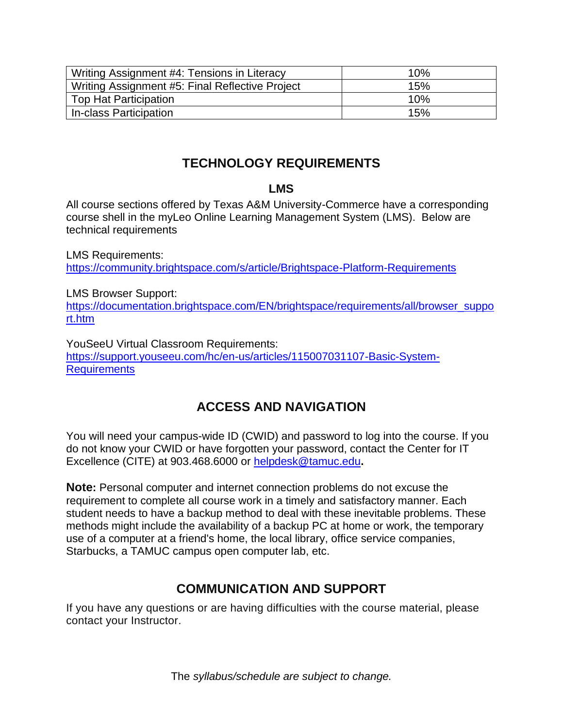| Writing Assignment #4: Tensions in Literacy     | 10% |
|-------------------------------------------------|-----|
| Writing Assignment #5: Final Reflective Project | 15% |
| <b>Top Hat Participation</b>                    | 10% |
| In-class Participation                          | 15% |

## **TECHNOLOGY REQUIREMENTS**

#### **LMS**

All course sections offered by Texas A&M University-Commerce have a corresponding course shell in the myLeo Online Learning Management System (LMS). Below are technical requirements

LMS Requirements: <https://community.brightspace.com/s/article/Brightspace-Platform-Requirements>

LMS Browser Support: [https://documentation.brightspace.com/EN/brightspace/requirements/all/browser\\_suppo](https://documentation.brightspace.com/EN/brightspace/requirements/all/browser_support.htm) [rt.htm](https://documentation.brightspace.com/EN/brightspace/requirements/all/browser_support.htm)

YouSeeU Virtual Classroom Requirements: [https://support.youseeu.com/hc/en-us/articles/115007031107-Basic-System-](https://support.youseeu.com/hc/en-us/articles/115007031107-Basic-System-Requirements)**[Requirements](https://support.youseeu.com/hc/en-us/articles/115007031107-Basic-System-Requirements)** 

# **ACCESS AND NAVIGATION**

You will need your campus-wide ID (CWID) and password to log into the course. If you do not know your CWID or have forgotten your password, contact the Center for IT Excellence (CITE) at 903.468.6000 or [helpdesk@tamuc.edu](mailto:helpdesk@tamuc.edu)**.**

**Note:** Personal computer and internet connection problems do not excuse the requirement to complete all course work in a timely and satisfactory manner. Each student needs to have a backup method to deal with these inevitable problems. These methods might include the availability of a backup PC at home or work, the temporary use of a computer at a friend's home, the local library, office service companies, Starbucks, a TAMUC campus open computer lab, etc.

## **COMMUNICATION AND SUPPORT**

If you have any questions or are having difficulties with the course material, please contact your Instructor.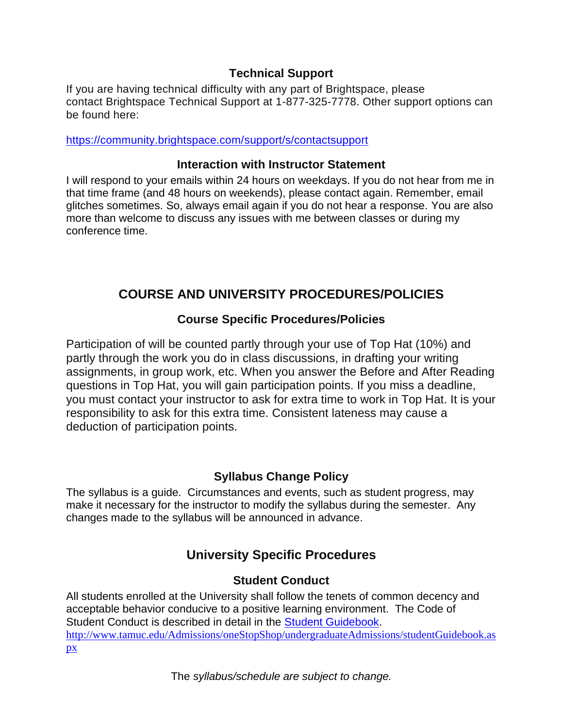#### **Technical Support**

If you are having technical difficulty with any part of Brightspace, please contact Brightspace Technical Support at 1-877-325-7778. Other support options can be found here:

<https://community.brightspace.com/support/s/contactsupport>

#### **Interaction with Instructor Statement**

I will respond to your emails within 24 hours on weekdays. If you do not hear from me in that time frame (and 48 hours on weekends), please contact again. Remember, email glitches sometimes. So, always email again if you do not hear a response. You are also more than welcome to discuss any issues with me between classes or during my conference time.

# **COURSE AND UNIVERSITY PROCEDURES/POLICIES**

#### **Course Specific Procedures/Policies**

Participation of will be counted partly through your use of Top Hat (10%) and partly through the work you do in class discussions, in drafting your writing assignments, in group work, etc. When you answer the Before and After Reading questions in Top Hat, you will gain participation points. If you miss a deadline, you must contact your instructor to ask for extra time to work in Top Hat. It is your responsibility to ask for this extra time. Consistent lateness may cause a deduction of participation points.

### **Syllabus Change Policy**

The syllabus is a guide. Circumstances and events, such as student progress, may make it necessary for the instructor to modify the syllabus during the semester. Any changes made to the syllabus will be announced in advance.

# **University Specific Procedures**

### **Student Conduct**

All students enrolled at the University shall follow the tenets of common decency and acceptable behavior conducive to a positive learning environment. The Code of Student Conduct is described in detail in the [Student Guidebook.](http://www.tamuc.edu/Admissions/oneStopShop/undergraduateAdmissions/studentGuidebook.aspx) [http://www.tamuc.edu/Admissions/oneStopShop/undergraduateAdmissions/studentGuidebook.as](http://www.tamuc.edu/Admissions/oneStopShop/undergraduateAdmissions/studentGuidebook.aspx) [px](http://www.tamuc.edu/Admissions/oneStopShop/undergraduateAdmissions/studentGuidebook.aspx)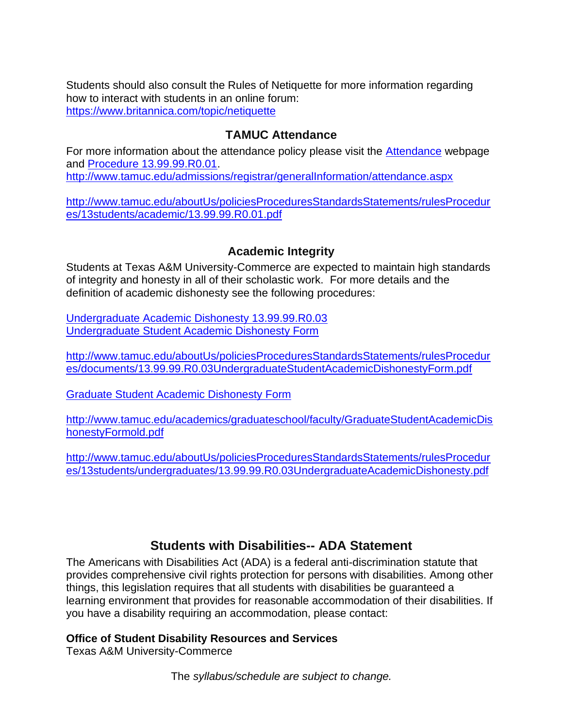Students should also consult the Rules of Netiquette for more information regarding how to interact with students in an online forum: <https://www.britannica.com/topic/netiquette>

#### **TAMUC Attendance**

For more information about the attendance policy please visit the **Attendance** webpage and [Procedure 13.99.99.R0.01.](http://www.tamuc.edu/aboutUs/policiesProceduresStandardsStatements/rulesProcedures/13students/academic/13.99.99.R0.01.pdf) <http://www.tamuc.edu/admissions/registrar/generalInformation/attendance.aspx>

[http://www.tamuc.edu/aboutUs/policiesProceduresStandardsStatements/rulesProcedur](http://www.tamuc.edu/aboutUs/policiesProceduresStandardsStatements/rulesProcedures/13students/academic/13.99.99.R0.01.pdf) [es/13students/academic/13.99.99.R0.01.pdf](http://www.tamuc.edu/aboutUs/policiesProceduresStandardsStatements/rulesProcedures/13students/academic/13.99.99.R0.01.pdf)

#### **Academic Integrity**

Students at Texas A&M University-Commerce are expected to maintain high standards of integrity and honesty in all of their scholastic work. For more details and the definition of academic dishonesty see the following procedures:

[Undergraduate Academic Dishonesty 13.99.99.R0.03](http://www.tamuc.edu/aboutUs/policiesProceduresStandardsStatements/rulesProcedures/13students/undergraduates/13.99.99.R0.03UndergraduateAcademicDishonesty.pdf) [Undergraduate Student Academic Dishonesty Form](http://www.tamuc.edu/aboutUs/policiesProceduresStandardsStatements/rulesProcedures/documents/13.99.99.R0.03UndergraduateStudentAcademicDishonestyForm.pdf)

[http://www.tamuc.edu/aboutUs/policiesProceduresStandardsStatements/rulesProcedur](http://www.tamuc.edu/aboutUs/policiesProceduresStandardsStatements/rulesProcedures/documents/13.99.99.R0.03UndergraduateStudentAcademicDishonestyForm.pdf) [es/documents/13.99.99.R0.03UndergraduateStudentAcademicDishonestyForm.pdf](http://www.tamuc.edu/aboutUs/policiesProceduresStandardsStatements/rulesProcedures/documents/13.99.99.R0.03UndergraduateStudentAcademicDishonestyForm.pdf)

[Graduate Student Academic Dishonesty Form](http://www.tamuc.edu/academics/graduateschool/faculty/GraduateStudentAcademicDishonestyFormold.pdf)

[http://www.tamuc.edu/academics/graduateschool/faculty/GraduateStudentAcademicDis](http://www.tamuc.edu/academics/graduateschool/faculty/GraduateStudentAcademicDishonestyFormold.pdf) [honestyFormold.pdf](http://www.tamuc.edu/academics/graduateschool/faculty/GraduateStudentAcademicDishonestyFormold.pdf)

[http://www.tamuc.edu/aboutUs/policiesProceduresStandardsStatements/rulesProcedur](http://www.tamuc.edu/aboutUs/policiesProceduresStandardsStatements/rulesProcedures/13students/undergraduates/13.99.99.R0.03UndergraduateAcademicDishonesty.pdf) [es/13students/undergraduates/13.99.99.R0.03UndergraduateAcademicDishonesty.pdf](http://www.tamuc.edu/aboutUs/policiesProceduresStandardsStatements/rulesProcedures/13students/undergraduates/13.99.99.R0.03UndergraduateAcademicDishonesty.pdf)

#### **Students with Disabilities-- ADA Statement**

The Americans with Disabilities Act (ADA) is a federal anti-discrimination statute that provides comprehensive civil rights protection for persons with disabilities. Among other things, this legislation requires that all students with disabilities be guaranteed a learning environment that provides for reasonable accommodation of their disabilities. If you have a disability requiring an accommodation, please contact:

#### **Office of Student Disability Resources and Services**

Texas A&M University-Commerce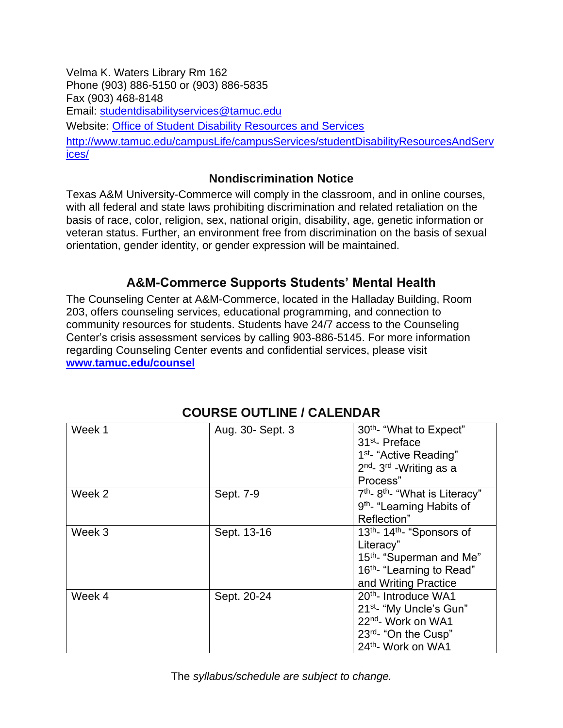Velma K. Waters Library Rm 162 Phone (903) 886-5150 or (903) 886-5835 Fax (903) 468-8148 Email: [studentdisabilityservices@tamuc.edu](mailto:studentdisabilityservices@tamuc.edu) Website: [Office of Student Disability Resources and Services](http://www.tamuc.edu/campusLife/campusServices/studentDisabilityResourcesAndServices/) [http://www.tamuc.edu/campusLife/campusServices/studentDisabilityResourcesAndServ](http://www.tamuc.edu/campusLife/campusServices/studentDisabilityResourcesAndServices/) [ices/](http://www.tamuc.edu/campusLife/campusServices/studentDisabilityResourcesAndServices/)

#### **Nondiscrimination Notice**

Texas A&M University-Commerce will comply in the classroom, and in online courses, with all federal and state laws prohibiting discrimination and related retaliation on the basis of race, color, religion, sex, national origin, disability, age, genetic information or veteran status. Further, an environment free from discrimination on the basis of sexual orientation, gender identity, or gender expression will be maintained.

# **A&M-Commerce Supports Students' Mental Health**

The Counseling Center at A&M-Commerce, located in the Halladay Building, Room 203, offers counseling services, educational programming, and connection to community resources for students. Students have 24/7 access to the Counseling Center's crisis assessment services by calling 903-886-5145. For more information regarding Counseling Center events and confidential services, please visit **[www.tamuc.edu/counsel](http://www.tamuc.edu/counsel)**

| Week 1 | Aug. 30- Sept. 3 | 30 <sup>th</sup> - "What to Expect"<br>31 <sup>st</sup> -Preface<br>1 <sup>st</sup> - "Active Reading"<br>2 <sup>nd</sup> - 3 <sup>rd</sup> - Writing as a<br>Process"   |
|--------|------------------|--------------------------------------------------------------------------------------------------------------------------------------------------------------------------|
| Week 2 | Sept. 7-9        | 7 <sup>th</sup> -8 <sup>th</sup> - "What is Literacy"<br>9 <sup>th</sup> - "Learning Habits of<br>Reflection"                                                            |
| Week 3 | Sept. 13-16      | 13 <sup>th</sup> - 14 <sup>th</sup> - "Sponsors of<br>Literacy"<br>15 <sup>th</sup> - "Superman and Me"<br>16 <sup>th</sup> - "Learning to Read"<br>and Writing Practice |
| Week 4 | Sept. 20-24      | 20 <sup>th</sup> - Introduce WA1<br>21 <sup>st</sup> - "My Uncle's Gun"<br>22nd- Work on WA1<br>23rd- "On the Cusp"<br>24th- Work on WA1                                 |

# **COURSE OUTLINE / CALENDAR**